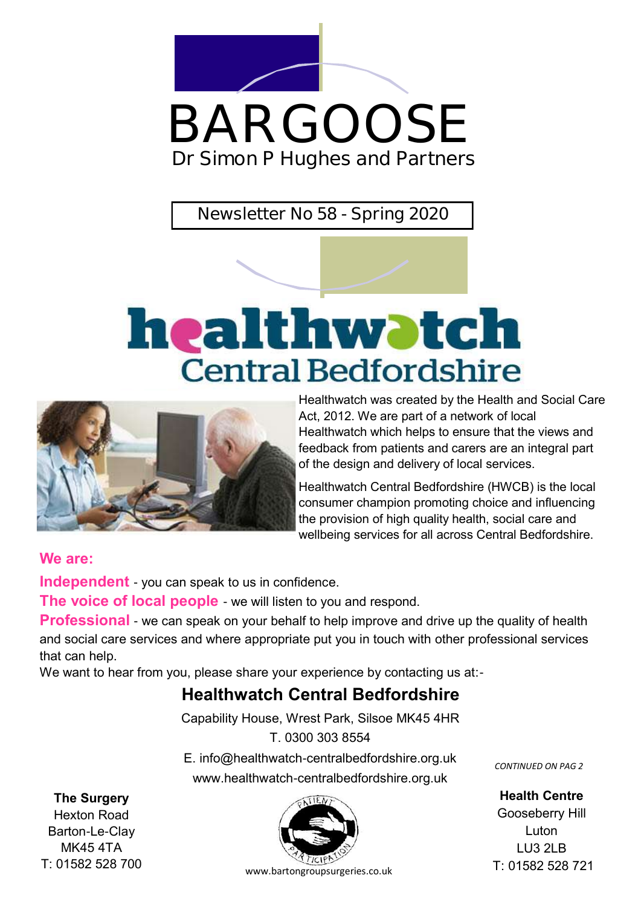

# BARGOOSE **Dr Simon P Hughes and Partners**

**Newsletter No 58 - Spring 2020**

# healthwatch **Central Bedfordshire**



Healthwatch was created by the Health and Social Care Act, 2012. We are part of a network of local Healthwatch which helps to ensure that the views and feedback from patients and carers are an integral part of the design and delivery of local services.

Healthwatch Central Bedfordshire (HWCB) is the local consumer champion promoting choice and influencing the provision of high quality health, social care and wellbeing services for all across Central Bedfordshire.

#### **We are:**

**Independent** - you can speak to us in confidence.

**The voice of local people** - we will listen to you and respond.

**Professional** - we can speak on your behalf to help improve and drive up the quality of health and social care services and where appropriate put you in touch with other professional services that can help.

We want to hear from you, please share your experience by contacting us at:-

#### **Healthwatch Central Bedfordshire**

Capability House, Wrest Park, Silsoe MK45 4HR

T. 0300 303 8554

E. info@healthwatch-centralbedfordshire.org.uk www.healthwatch-centralbedfordshire.org.uk

*CONTINUED ON PAG 2*

**Health Centre** Gooseberry Hill Luton LU3 2LB T: 01582 528 721

**The Surgery**

Hexton Road Barton-Le-Clay MK45 4TA

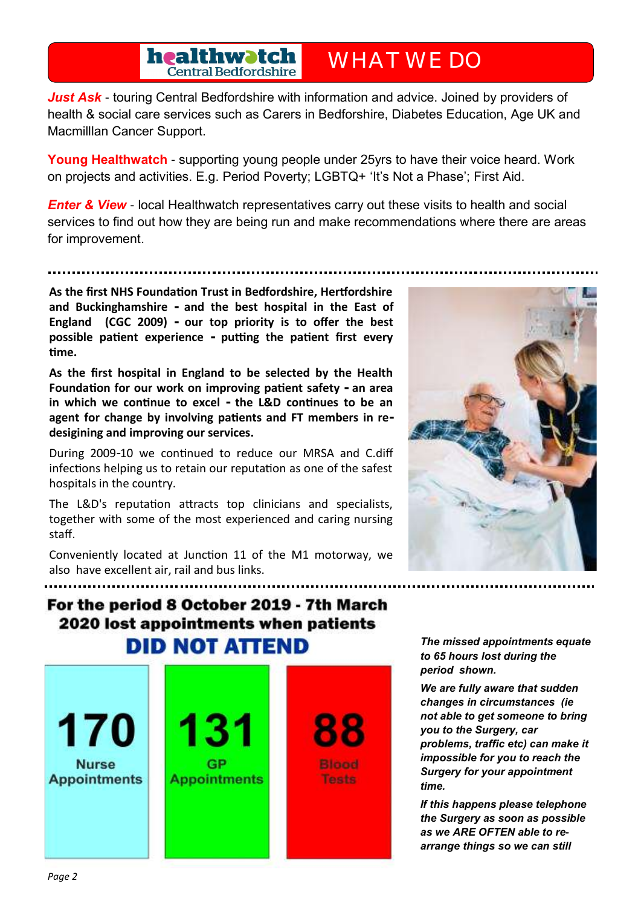**healthwatch**<br>Central Bedfordshire

**WHAT WE DO**

**Just Ask** - touring Central Bedfordshire with information and advice. Joined by providers of health & social care services such as Carers in Bedforshire, Diabetes Education, Age UK and Macmilllan Cancer Support.

**Young Healthwatch** - supporting young people under 25yrs to have their voice heard. Work on projects and activities. E.g. Period Poverty; LGBTQ+ 'It's Not a Phase'; First Aid.

*Enter & View* - local Healthwatch representatives carry out these visits to health and social services to find out how they are being run and make recommendations where there are areas for improvement.

**As the first NHS Foundation Trust in Bedfordshire, Hertfordshire and Buckinghamshire - and the best hospital in the East of England (CGC 2009) - our top priority is to offer the best possible patient experience - putting the patient first every time.**

**As the first hospital in England to be selected by the Health Foundation for our work on improving patient safety - an area in which we continue to excel - the L&D continues to be an agent for change by involving patients and FT members in redesigining and improving our services.**

During 2009-10 we continued to reduce our MRSA and C.diff infections helping us to retain our reputation as one of the safest hospitals in the country.

The L&D's reputation attracts top clinicians and specialists, together with some of the most experienced and caring nursing staff.

Conveniently located at Junction 11 of the M1 motorway, we also have excellent air, rail and bus links.



#### For the period 8 October 2019 - 7th March 2020 lost appointments when patients **DID NOT ATTEND**



*The missed appointments equate to 65 hours lost during the period shown.*

*We are fully aware that sudden changes in circumstances (ie not able to get someone to bring you to the Surgery, car problems, traffic etc) can make it impossible for you to reach the Surgery for your appointment time.*

*If this happens please telephone the Surgery as soon as possible as we ARE OFTEN able to rearrange things so we can still*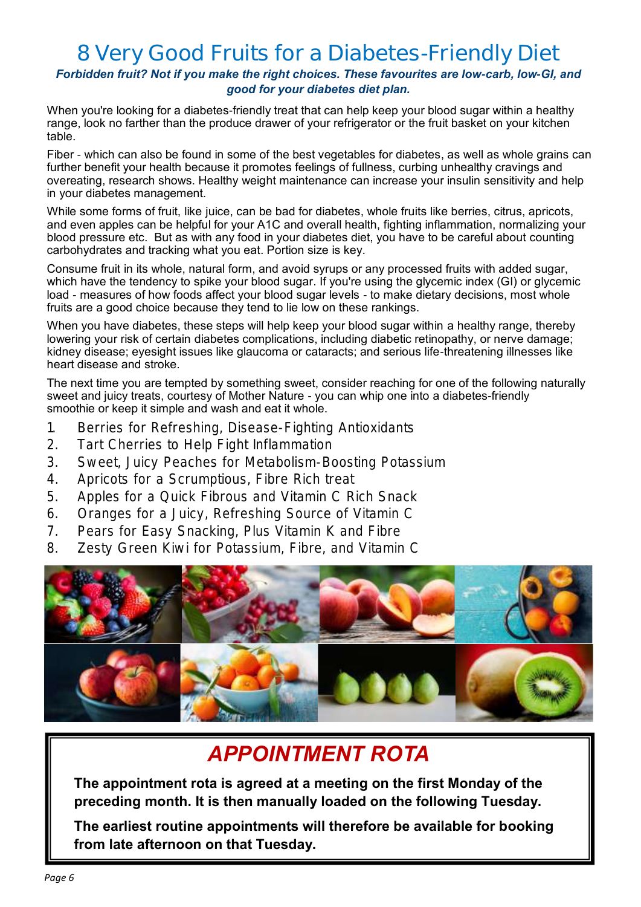### **8 Very Good Fruits for a Diabetes-Friendly Diet**

*Forbidden fruit? Not if you make the right choices. These favourites are low-carb, low-GI, and good for your diabetes diet plan.*

When you're looking for a diabetes-friendly treat that can help keep your blood sugar within a healthy range, look no farther than the produce drawer of your refrigerator or the fruit basket on your kitchen table.

[Fiber](https://www.everydayhealth.com/hs/type-2-diabetes-live-better-guide/fiber-rich-foods-pictures/#04) - which can also be found in some of [the best vegetables for diabetes,](https://www.everydayhealth.com/type-2-diabetes/diet/low-carb-veggies-for-diabetic-diets/) as well as whole grains can further benefit your health because it promotes feelings of fullness, curbing unhealthy cravings and overeating, [research shows.](https://www.everydayhealth.com/news/more-evidence-high-fiber-diet-may-curb-type-2-diabetes-risk/) Healthy weight maintenance can increase your insulin sensitivity and help in your diabetes management.

While some forms of fruit, like [juice, can be bad for diabetes,](https://www.everydayhealth.com/type-2-diabetes/diet/joy-bauer-foods-to-avoid-when-you-have-diabetes/) whole fruits like berries, citrus, apricots, and even apples can be helpful for your A1C and overall health, fighting inflammation, normalizing your blood pressure etc. But as with any food in your diabetes diet, you have to be careful about [counting](https://www.everydayhealth.com/type-2-diabetes/diet/carb-counting-101/)  [carbohydrates](https://www.everydayhealth.com/type-2-diabetes/diet/carb-counting-101/) and [tracking what you eat.](https://www.everydayhealth.com/type-2-diabetes/living-with/type-2-diabetes-using-a-food-journal/) [Portion size](https://www.everydayhealth.com/type-2-diabetes/living-with/easy-ways-to-manage-portion-sizes/) is key.

Consume fruit in its whole, natural form, and avoid syrups or any processed fruits with added sugar, which have the tendency to [spike your blood sugar.](https://www.everydayhealth.com/type-2-diabetes/symptoms/dealing-with-unexplained-blood-sugar-spikes/) If you're using [the glycemic index \(GI\)](https://www.everydayhealth.com/type-2-diabetes/diet/using-the-glycemic-index/) or glycemic load - measures of how foods affect your blood sugar levels - to make dietary decisions, most whole fruits are a good choice because they tend to lie low on these rankings.

When you have diabetes, these steps will help keep your blood sugar within [a healthy range,](https://www.everydayhealth.com/diabetes/type2/diagnosing/specialist/getaneh-safe-blood-sugar-level.aspx) thereby lowering your risk of certain [diabetes complications,](https://www.everydayhealth.com/type-2-diabetes/treatment/type-2-diabetes-complications-heart-disease-diabetic-retinopathy-neuropathy-more/) including diabetic retinopathy, or nerve damage; kidney disease; eyesight issues like glaucoma or cataracts; and serious life-threatening illnesses like heart disease and stroke.

The next time you are tempted by something sweet, consider reaching for one of the following naturally sweet and juicy treats, courtesy of Mother Nature - you can whip one into a diabetes-friendly [smoothie](https://www.everydayhealth.com/type-2-diabetes/diet/breakfast-ideas-for-diabetes/) or keep it simple and wash and eat it whole.

- **1. Berries for Refreshing, Disease-Fighting Antioxidants**
- **2. Tart Cherries to Help Fight Inflammation**
- **3. Sweet, Juicy Peaches for Metabolism-Boosting Potassium**
- **4. Apricots for a Scrumptious, Fibre Rich treat**
- **5. Apples for a Quick Fibrous and Vitamin C Rich Snack**
- **6. Oranges for a Juicy, Refreshing Source of Vitamin C**
- **7. Pears for Easy Snacking, Plus Vitamin K and Fibre**
- **8. Zesty Green Kiwi for Potassium, Fibre, and Vitamin C**



### *APPOINTMENT ROTA*

**The appointment rota is agreed at a meeting on the first Monday of the preceding month. It is then manually loaded on the following Tuesday.**

**The earliest routine appointments will therefore be available for booking from late afternoon on that Tuesday.**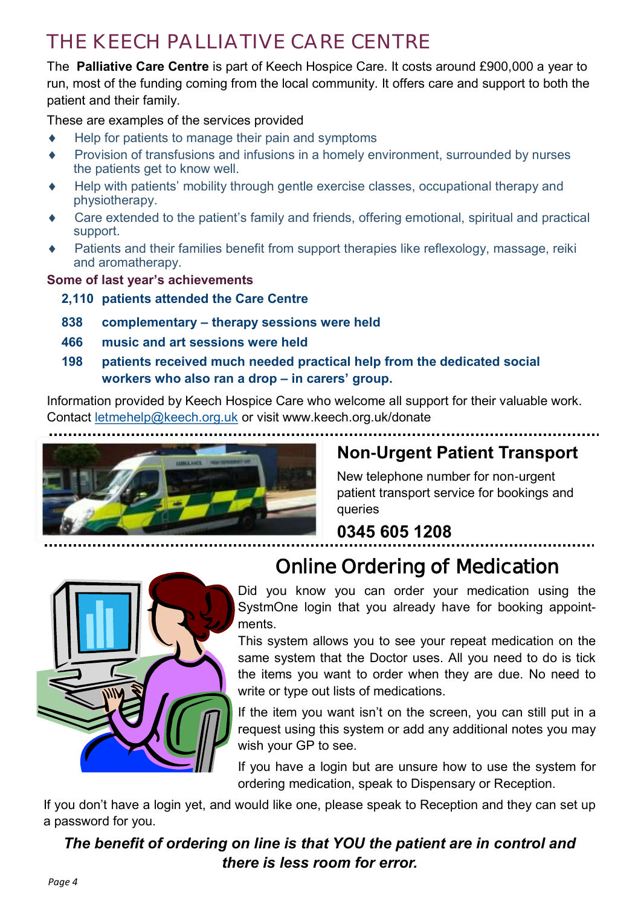## **THE KEECH PALLIATIVE CARE CENTRE**

The **Palliative Care Centre** is part of Keech Hospice Care. It costs around £900,000 a year to run, most of the funding coming from the local community. It offers care and support to both the patient and their family.

These are examples of the services provided

- Help for patients to manage their pain and symptoms
- Provision of transfusions and infusions in a homely environment, surrounded by nurses the patients get to know well.
- Help with patients' mobility through gentle exercise classes, occupational therapy and physiotherapy.
- Care extended to the patient's family and friends, offering emotional, spiritual and practical support.
- Patients and their families benefit from support therapies like reflexology, massage, reiki and aromatherapy.

**Some of last year's achievements**

#### **2,110 patients attended the Care Centre**

- **838 complementary – therapy sessions were held**
- **466 music and art sessions were held**
- **198 patients received much needed practical help from the dedicated social workers who also ran a drop – in carers' group.**

Information provided by Keech Hospice Care who welcome all support for their valuable work. Contact [letmehelp@keech.org.uk](mailto:letmehelp@keech.org.uk) or visit www.keech.org.uk/donate



New telephone number for non-urgent patient transport service for bookings and queries

## **0345 605 1208**



## **Online Ordering of Medication**

Did you know you can order your medication using the SystmOne login that you already have for booking appointments.

This system allows you to see your repeat medication on the same system that the Doctor uses. All you need to do is tick the items you want to order when they are due. No need to write or type out lists of medications.

If the item you want isn't on the screen, you can still put in a request using this system or add any additional notes you may wish your GP to see.

If you have a login but are unsure how to use the system for ordering medication, speak to Dispensary or Reception.

If you don't have a login yet, and would like one, please speak to Reception and they can set up a password for you.

*The benefit of ordering on line is that YOU the patient are in control and there is less room for error.*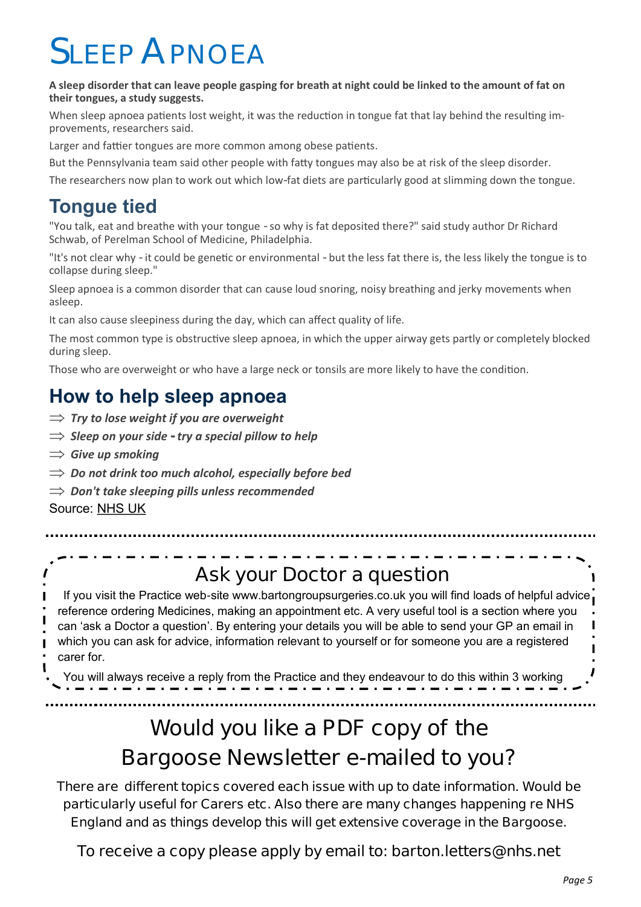# **SLEEP APNOEA**

**A sleep disorder that can leave people gasping for breath at night could be linked to the amount of fat on their tongues, a study suggests.**

When sleep apnoea patients lost weight, it was the reduction in tongue fat that lay behind the resulting improvements, researchers said.

Larger and fattier tongues are more common among obese patients.

But the Pennsylvania team said other people with fatty tongues may also be at risk of the sleep disorder.

The researchers now plan to work out which low-fat diets are particularly good at slimming down the tongue.

#### **Tongue tied**

"You talk, eat and breathe with your tongue - so why is fat deposited there?" said study author Dr Richard Schwab, of Perelman School of Medicine, Philadelphia.

"It's not clear why - it could be genetic or environmental - but the less fat there is, the less likely the tongue is to collapse during sleep."

Sleep apnoea is a common disorder that can cause loud snoring, noisy breathing and jerky movements when asleep.

It can also cause sleepiness during the day, which can affect quality of life.

The most common type is obstructive sleep apnoea, in which the upper airway gets partly or completely blocked during sleep.

Those who are overweight or who have a large neck or tonsils are more likely to have the condition.

#### **How to help sleep apnoea**

- $\Rightarrow$  Try to lose weight if you are overweight
- *Sleep on your side - try a special pillow to help*
- $\Rightarrow$  Give up smoking
- *Do not drink too much alcohol, especially before bed*
- *Don't take sleeping pills unless recommended*

Source: [NHS UK](https://www.nhs.uk/conditions/sleep-apnoea/)

I

#### **Ask your Doctor a question**

If you visit the Practice web-site www.bartongroupsurgeries.co.uk you will find loads of helpful advice reference ordering Medicines, making an appointment etc. A very useful tool is a section where you can 'ask a Doctor a question'. By entering your details you will be able to send your GP an email in which you can ask for advice, information relevant to yourself or for someone you are a registered carer for.

You will always receive a reply from the Practice and they endeavour to do this within 3 working

## **Would you like a PDF copy of the Bargoose Newsletter e-mailed to you?**

**There are different topics covered each issue with up to date information. Would be particularly useful for Carers etc. Also there are many changes happening re NHS England and as things develop this will get extensive coverage in the Bargoose.**

**To receive a copy please apply by email to: barton.letters@nhs.net**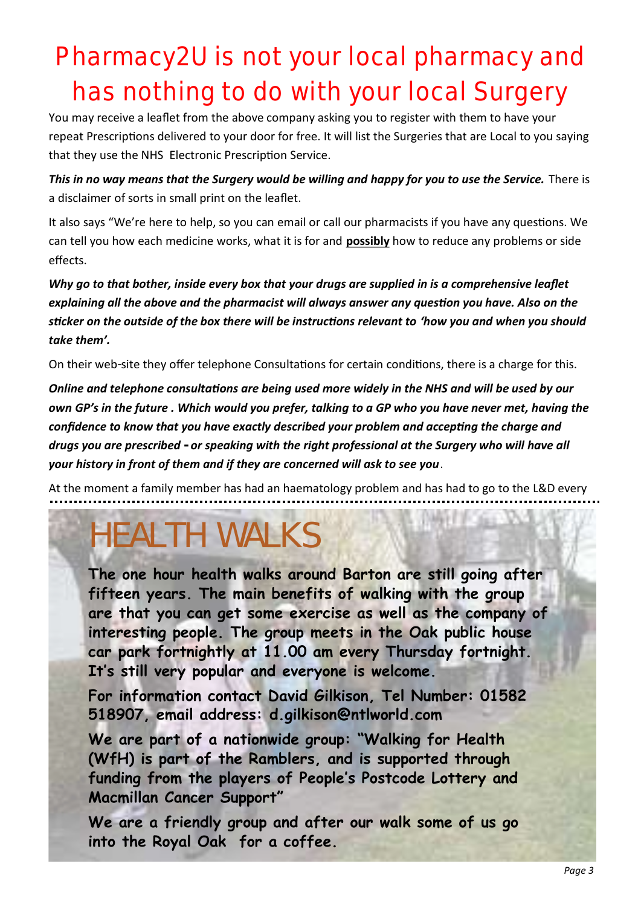# Pharmacy2U is not your local pharmacy and has nothing to do with your local Surgery

You may receive a leaflet from the above company asking you to register with them to have your repeat Prescriptions delivered to your door for free. It will list the Surgeries that are Local to you saying that they use the NHS Electronic Prescription Service.

*This in no way means that the Surgery would be willing and happy for you to use the Service.* **There is** a disclaimer of sorts in small print on the leaflet.

It also says "We're here to help, so you can email or call our pharmacists if you have any questions. We can tell you how each medicine works, what it is for and **possibly** how to reduce any problems or side effects.

*Why go to that bother, inside every box that your drugs are supplied in is a comprehensive leaflet explaining all the above and the pharmacist will always answer any question you have. Also on the sticker on the outside of the box there will be instructions relevant to 'how you and when you should take them'.*

On their web-site they offer telephone Consultations for certain conditions, there is a charge for this.

*Online and telephone consultations are being used more widely in the NHS and will be used by our own GP's in the future . Which would you prefer, talking to a GP who you have never met, having the confidence to know that you have exactly described your problem and accepting the charge and drugs you are prescribed - or speaking with the right professional at the Surgery who will have all your history in front of them and if they are concerned will ask to see you*.

At the moment a family member has had an haematology problem and has had to go to the L&D every

# **HEALTH WALKS**

**The one hour health walks around Barton are still going after fifteen years. The main benefits of walking with the group are that you can get some exercise as well as the company of interesting people. The group meets in the Oak public house car park fortnightly at 11.00 am every Thursday fortnight. It's still very popular and everyone is welcome.** 

**For information contact David Gilkison, Tel Number: 01582 518907, email address: [d.gilkison@ntlworld.com](mailto:d.gilkison@ntlworld.com)**

**We are part of a nationwide group: "Walking for Health (WfH) is part of the Ramblers, and is supported through funding from the players of People's Postcode Lottery and Macmillan Cancer Support"**

**We are a friendly group and after our walk some of us go into the Royal Oak for a coffee.**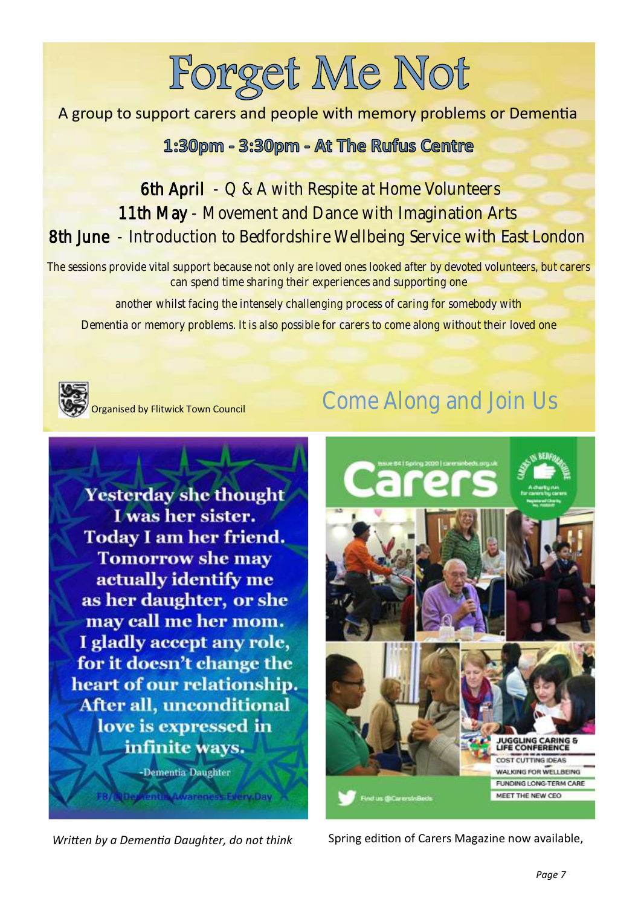# Forget Me Not

#### A group to support carers and people with memory problems or Dementia

#### 1:30pm - 3:30pm - At The Rufus Centre

#### 6th April - Q & A with Respite at Home Volunteers 11th May - Movement and Dance with Imagination Arts 8th June - Introduction to Bedfordshire Wellbeing Service with East London

The sessions provide vital support because not only are loved ones looked after by devoted volunteers, but carers can spend time sharing their experiences and supporting one

another whilst facing the intensely challenging process of caring for somebody with

Dementia or memory problems. It is also possible for carers to come along without their loved one



rganised by Flitwick Town Council

## Come Along and Join Us

**Yesterday she thought** I was her sister. **Today I am her friend. Tomorrow she may** actually identify me as her daughter, or she may call me her mom. I gladly accept any role, for it doesn't change the heart of our relationship. After all, unconditional love is expressed in infinite ways.



**Rentile Awareness Every Day** 



*Written by a Dementia Daughter, do not think* Spring edition of Carers Magazine now available,